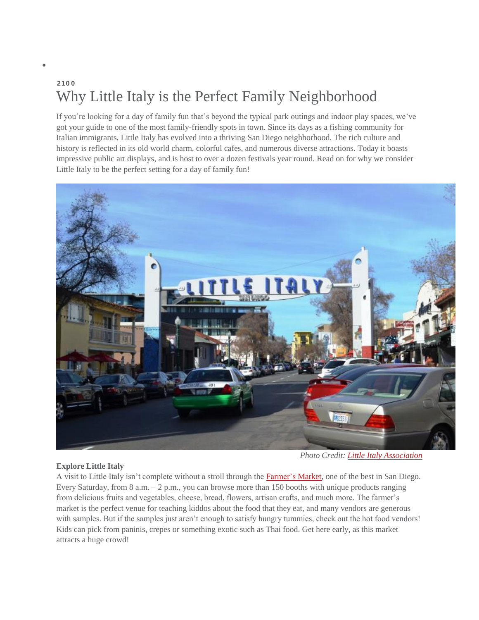## **210 0** Why Little Italy is the Perfect Family Neighborhood

If you're looking for a day of family fun that's beyond the typical park outings and indoor play spaces, we've got your guide to one of the most family-friendly spots in town. Since its days as a fishing community for Italian immigrants, Little Italy has evolved into a thriving San Diego neighborhood. The rich culture and history is reflected in its old world charm, colorful cafes, and numerous diverse attractions. Today it boasts impressive public art displays, and is host to over a dozen festivals year round. Read on for why we consider Little Italy to be the perfect setting for a day of family fun!



## **Explore Little Italy**

*Photo Credit: Little Italy [Association](http://www.littleitalysd.com/)*

A visit to Little Italy isn't complete without a stroll through the [Farmer's](http://www.littleitalysd.com/mercato/) Market, one of the best in San Diego. Every Saturday, from 8 a.m. – 2 p.m., you can browse more than 150 booths with unique products ranging from delicious fruits and vegetables, cheese, bread, flowers, artisan crafts, and much more. The farmer's market is the perfect venue for teaching kiddos about the food that they eat, and many vendors are generous with samples. But if the samples just aren't enough to satisfy hungry tummies, check out the hot food vendors! Kids can pick from paninis, crepes or something exotic such as Thai food. Get here early, as this market attracts a huge crowd!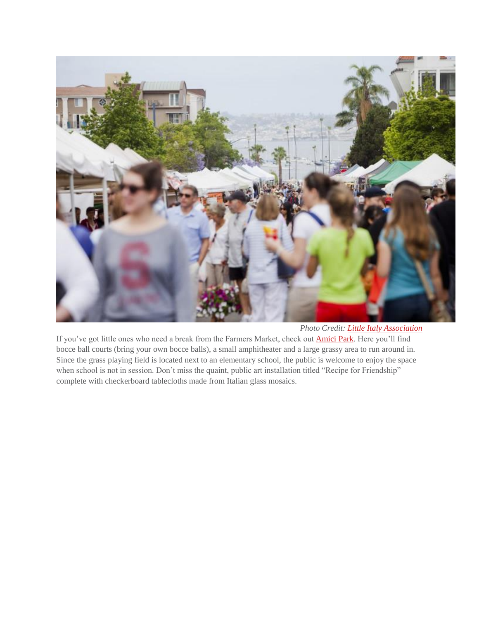

*Photo Credit: Little Italy [Association](http://www.littleitalysd.com/)*

If you've got little ones who need a break from the Farmers Market, check out **[Amici](http://www.littleitalysd.com/points-of-interest/amici-park/) Park**. Here you'll find bocce ball courts (bring your own bocce balls), a small amphitheater and a large grassy area to run around in. Since the grass playing field is located next to an elementary school, the public is welcome to enjoy the space when school is not in session. Don't miss the quaint, public art installation titled "Recipe for Friendship" complete with checkerboard tablecloths made from Italian glass mosaics.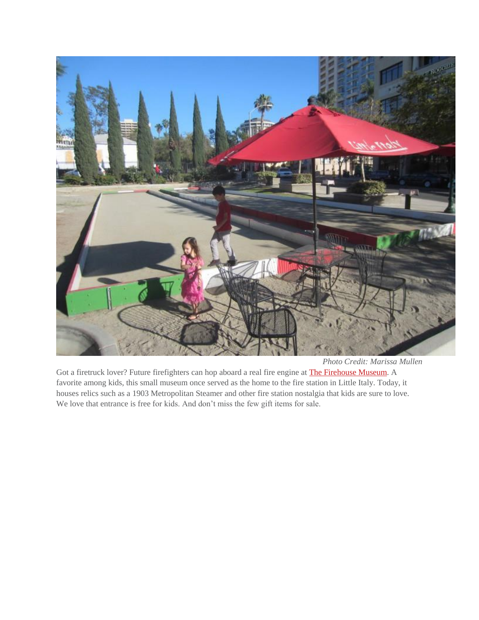

*Photo Credit: Marissa Mullen*

Got a firetruck lover? Future firefighters can hop aboard a real fire engine at **The [Firehouse](http://www.sandiegofirehousemuseum.com/) Museum**. A favorite among kids, this small museum once served as the home to the fire station in Little Italy. Today, it houses relics such as a 1903 Metropolitan Steamer and other fire station nostalgia that kids are sure to love. We love that entrance is free for kids. And don't miss the few gift items for sale.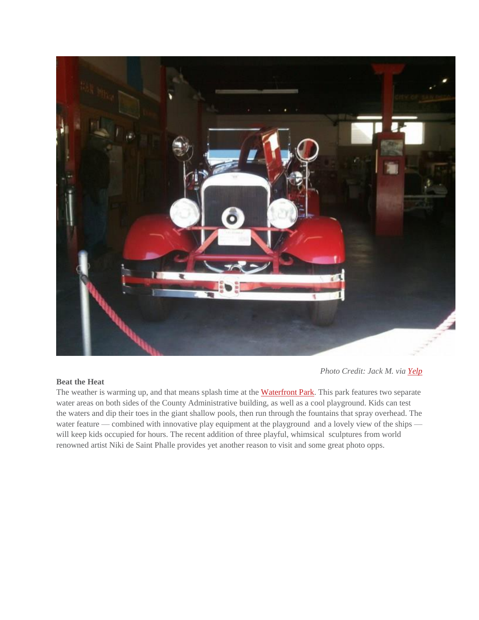

## **Beat the Heat**

*Photo Credit: Jack M. via [Yelp](http://www.yelp.com/biz_photos/san-diego-firehouse-museum-san-diego?select=REVRmj6tbaEulMoVJ6ELqg)*

The weather is warming up, and that means splash time at the [Waterfront](http://www.sandiegocounty.gov/parks/Waterfrontpark.html) Park. This park features two separate water areas on both sides of the County Administrative building, as well as a cool playground. Kids can test the waters and dip their toes in the giant shallow pools, then run through the fountains that spray overhead. The water feature — combined with innovative play equipment at the playground and a lovely view of the ships will keep kids occupied for hours. The recent addition of three playful, whimsical sculptures from world renowned artist Niki de Saint Phalle provides yet another reason to visit and some great photo opps.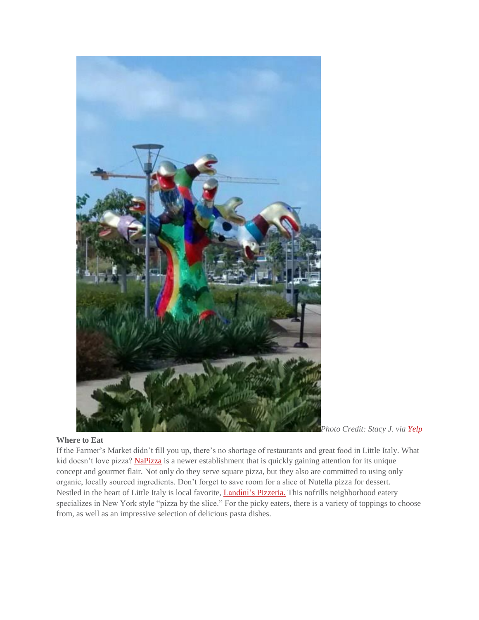

## **Where to Eat**

*Photo Credit: Stacy J. via [Yelp](http://www.yelp.com/biz_photos/waterfront-park-san-diego?select=VZgbTahgAfIcc6uahH48Wg&userid=jM29rpC4T72M28SAbXnu3w)*

If the Farmer's Market didn't fill you up, there's no shortage of restaurants and great food in Little Italy. What kid doesn't love pizza? [NaPizza](http://www.na-pizza.com/) is a newer establishment that is quickly gaining attention for its unique concept and gourmet flair. Not only do they serve square pizza, but they also are committed to using only organic, locally sourced ingredients. Don't forget to save room for a slice of Nutella pizza for dessert. Nestled in the heart of Little Italy is local favorite, *[Landini's](http://www.landinispizzeria.com/) Pizzeria*. This nofrills neighborhood eatery specializes in New York style "pizza by the slice." For the picky eaters, there is a variety of toppings to choose from, as well as an impressive selection of delicious pasta dishes.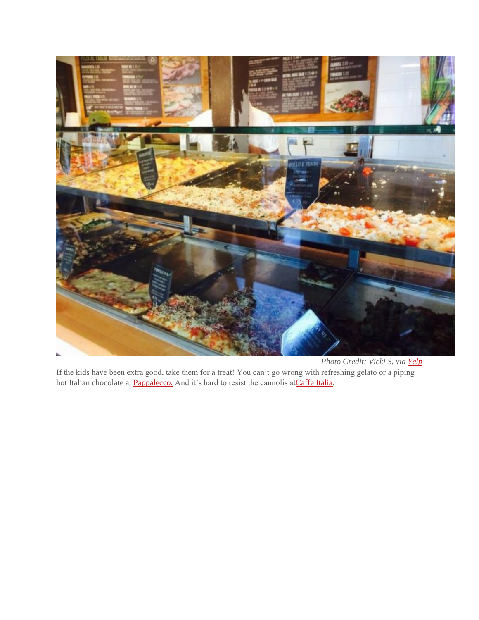

*Photo Credit: Vicki S. via [Yelp](http://www.yelp.com/biz_photos/napizza-san-diego?select=SqPMTLunQGMcohm-jTxPXQ)* If the kids have been extra good, take them for a treat! You can't go wrong with refreshing gelato or a piping hot Italian chocolate at **Pappalecco**. And it's hard to resist the cannolis at Caffe Italia.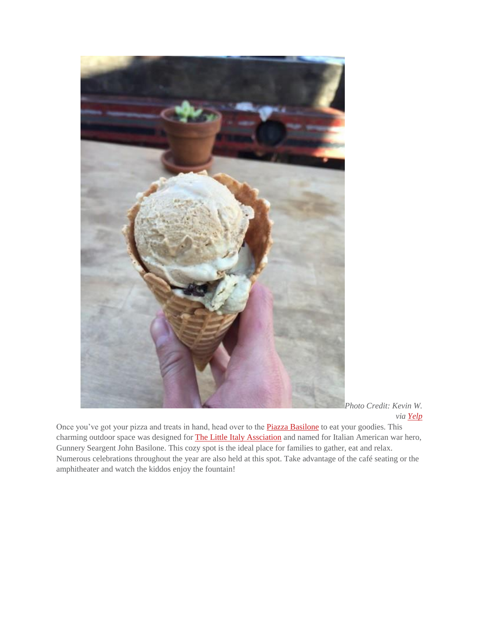

*Photo Credit: Kevin W. via [Yelp](http://www.yelp.com/biz_photos/pappalecco-san-diego-2?select=rUcIH_64rTwBL0_ZougniQ&userid=d8KR5c1ievS0C53h4fhEeQ)*

Once you've got your pizza and treats in hand, head over to the **Piazza [Basilone](http://www.yelp.com/biz/piazza-basilone-san-diego)** to eat your goodies. This charming outdoor space was designed for **The Little Italy [Assciation](http://www.littleitalysd.com/)** and named for Italian American war hero, Gunnery Seargent John Basilone. This cozy spot is the ideal place for families to gather, eat and relax. Numerous celebrations throughout the year are also held at this spot. Take advantage of the café seating or the amphitheater and watch the kiddos enjoy the fountain!